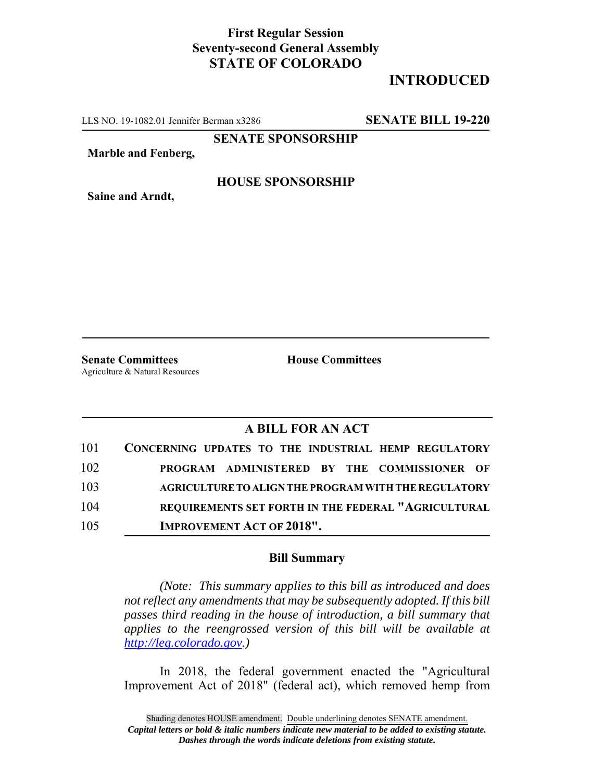## **First Regular Session Seventy-second General Assembly STATE OF COLORADO**

## **INTRODUCED**

LLS NO. 19-1082.01 Jennifer Berman x3286 **SENATE BILL 19-220**

**SENATE SPONSORSHIP**

**Marble and Fenberg,**

**Saine and Arndt,**

**HOUSE SPONSORSHIP**

**Senate Committees House Committees** Agriculture & Natural Resources

## **A BILL FOR AN ACT**

| 101 | CONCERNING UPDATES TO THE INDUSTRIAL HEMP REGULATORY        |
|-----|-------------------------------------------------------------|
| 102 | PROGRAM ADMINISTERED BY THE COMMISSIONER OF                 |
| 103 | <b>AGRICULTURE TO ALIGN THE PROGRAM WITH THE REGULATORY</b> |
| 104 | REOUIREMENTS SET FORTH IN THE FEDERAL "AGRICULTURAL         |
| 105 | <b>IMPROVEMENT ACT OF 2018".</b>                            |

## **Bill Summary**

*(Note: This summary applies to this bill as introduced and does not reflect any amendments that may be subsequently adopted. If this bill passes third reading in the house of introduction, a bill summary that applies to the reengrossed version of this bill will be available at http://leg.colorado.gov.)*

In 2018, the federal government enacted the "Agricultural Improvement Act of 2018" (federal act), which removed hemp from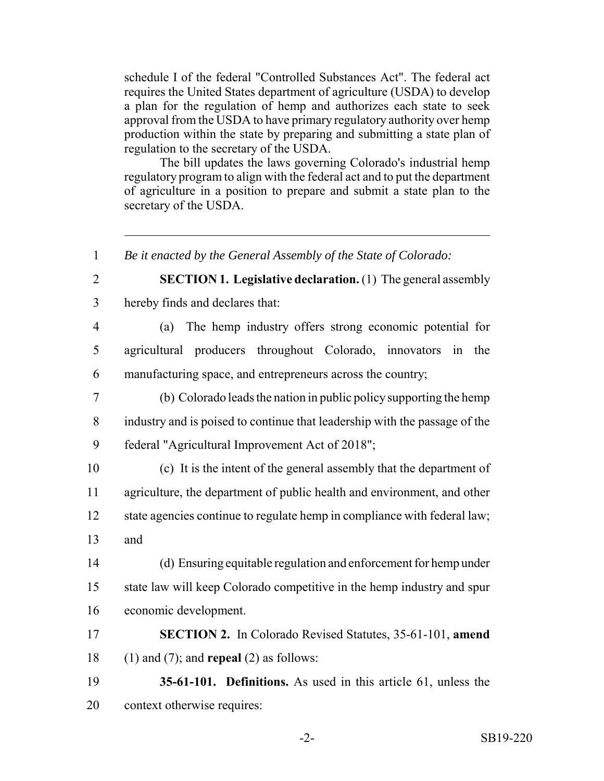schedule I of the federal "Controlled Substances Act". The federal act requires the United States department of agriculture (USDA) to develop a plan for the regulation of hemp and authorizes each state to seek approval from the USDA to have primary regulatory authority over hemp production within the state by preparing and submitting a state plan of regulation to the secretary of the USDA.

The bill updates the laws governing Colorado's industrial hemp regulatory program to align with the federal act and to put the department of agriculture in a position to prepare and submit a state plan to the secretary of the USDA.

 *Be it enacted by the General Assembly of the State of Colorado:* **SECTION 1. Legislative declaration.** (1) The general assembly hereby finds and declares that: (a) The hemp industry offers strong economic potential for agricultural producers throughout Colorado, innovators in the manufacturing space, and entrepreneurs across the country; (b) Colorado leads the nation in public policy supporting the hemp industry and is poised to continue that leadership with the passage of the federal "Agricultural Improvement Act of 2018"; (c) It is the intent of the general assembly that the department of agriculture, the department of public health and environment, and other state agencies continue to regulate hemp in compliance with federal law; and (d) Ensuring equitable regulation and enforcement for hemp under state law will keep Colorado competitive in the hemp industry and spur economic development. **SECTION 2.** In Colorado Revised Statutes, 35-61-101, **amend** (1) and (7); and **repeal** (2) as follows: **35-61-101. Definitions.** As used in this article 61, unless the context otherwise requires: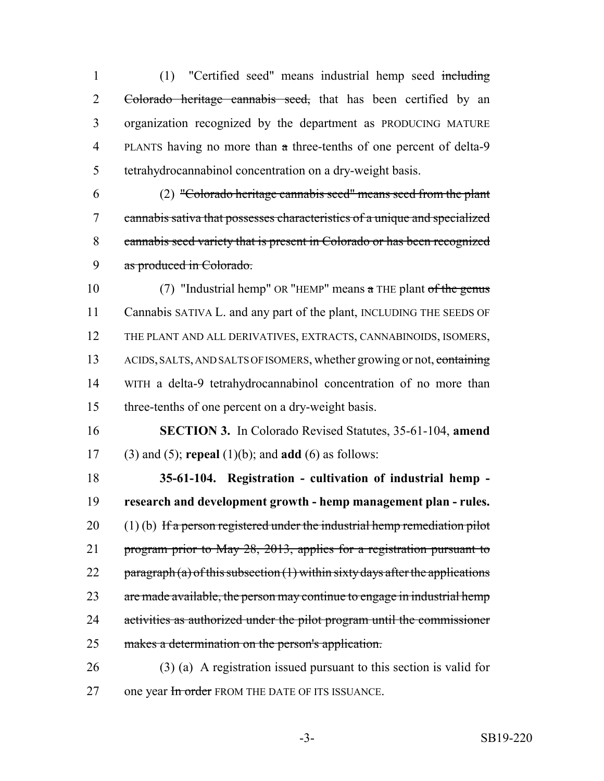(1) "Certified seed" means industrial hemp seed including 2 Colorado heritage cannabis seed, that has been certified by an organization recognized by the department as PRODUCING MATURE PLANTS having no more than a three-tenths of one percent of delta-9 tetrahydrocannabinol concentration on a dry-weight basis.

 (2) "Colorado heritage cannabis seed" means seed from the plant cannabis sativa that possesses characteristics of a unique and specialized cannabis seed variety that is present in Colorado or has been recognized as produced in Colorado.

10 (7) "Industrial hemp" OR "HEMP" means a THE plant of the genus Cannabis SATIVA L. and any part of the plant, INCLUDING THE SEEDS OF THE PLANT AND ALL DERIVATIVES, EXTRACTS, CANNABINOIDS, ISOMERS, 13 ACIDS, SALTS, AND SALTS OF ISOMERS, whether growing or not, containing WITH a delta-9 tetrahydrocannabinol concentration of no more than three-tenths of one percent on a dry-weight basis.

 **SECTION 3.** In Colorado Revised Statutes, 35-61-104, **amend** (3) and (5); **repeal** (1)(b); and **add** (6) as follows:

 **35-61-104. Registration - cultivation of industrial hemp - research and development growth - hemp management plan - rules.** (1) (b) If a person registered under the industrial hemp remediation pilot program prior to May 28, 2013, applies for a registration pursuant to 22 paragraph (a) of this subsection  $(1)$  within sixty days after the applications 23 are made available, the person may continue to engage in industrial hemp activities as authorized under the pilot program until the commissioner makes a determination on the person's application.

 (3) (a) A registration issued pursuant to this section is valid for 27 one year In order FROM THE DATE OF ITS ISSUANCE.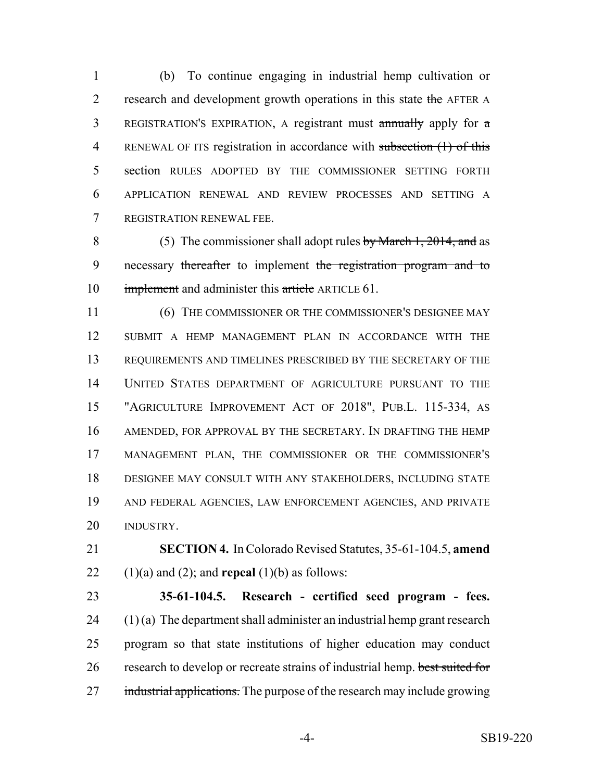(b) To continue engaging in industrial hemp cultivation or 2 research and development growth operations in this state the AFTER A REGISTRATION'S EXPIRATION, A registrant must annually apply for a 4 RENEWAL OF ITS registration in accordance with subsection (1) of this 5 section RULES ADOPTED BY THE COMMISSIONER SETTING FORTH APPLICATION RENEWAL AND REVIEW PROCESSES AND SETTING A REGISTRATION RENEWAL FEE.

 (5) The commissioner shall adopt rules by March 1, 2014, and as 9 necessary thereafter to implement the registration program and to 10 implement and administer this article ARTICLE 61.

 (6) THE COMMISSIONER OR THE COMMISSIONER'S DESIGNEE MAY SUBMIT A HEMP MANAGEMENT PLAN IN ACCORDANCE WITH THE REQUIREMENTS AND TIMELINES PRESCRIBED BY THE SECRETARY OF THE UNITED STATES DEPARTMENT OF AGRICULTURE PURSUANT TO THE "AGRICULTURE IMPROVEMENT ACT OF 2018", PUB.L. 115-334, AS AMENDED, FOR APPROVAL BY THE SECRETARY. IN DRAFTING THE HEMP MANAGEMENT PLAN, THE COMMISSIONER OR THE COMMISSIONER'S DESIGNEE MAY CONSULT WITH ANY STAKEHOLDERS, INCLUDING STATE AND FEDERAL AGENCIES, LAW ENFORCEMENT AGENCIES, AND PRIVATE INDUSTRY.

 **SECTION 4.** In Colorado Revised Statutes, 35-61-104.5, **amend** 22  $(1)(a)$  and  $(2)$ ; and **repeal**  $(1)(b)$  as follows:

 **35-61-104.5. Research - certified seed program - fees.** (1) (a) The department shall administer an industrial hemp grant research program so that state institutions of higher education may conduct research to develop or recreate strains of industrial hemp. best suited for 27 industrial applications. The purpose of the research may include growing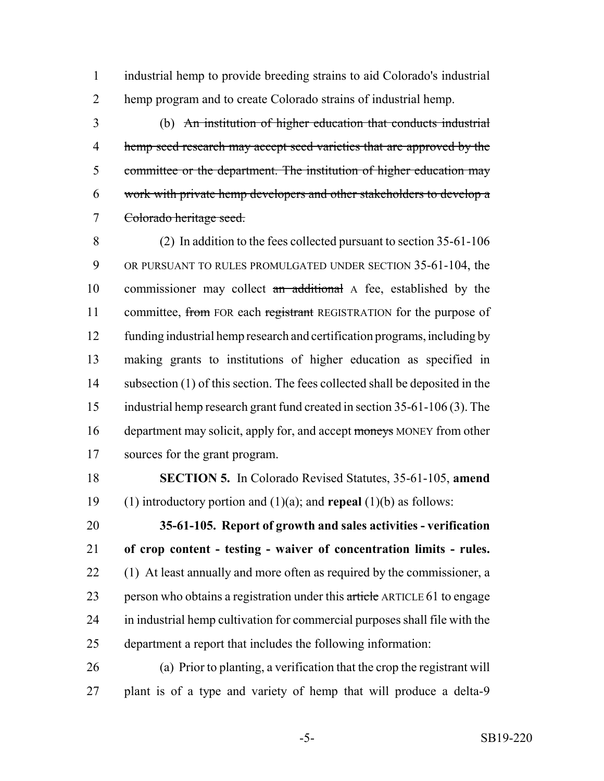industrial hemp to provide breeding strains to aid Colorado's industrial hemp program and to create Colorado strains of industrial hemp.

 (b) An institution of higher education that conducts industrial 4 hemp seed research may accept seed varieties that are approved by the committee or the department. The institution of higher education may work with private hemp developers and other stakeholders to develop a Colorado heritage seed.

 (2) In addition to the fees collected pursuant to section 35-61-106 9 OR PURSUANT TO RULES PROMULGATED UNDER SECTION 35-61-104, the 10 commissioner may collect an additional A fee, established by the 11 committee, from FOR each registrant REGISTRATION for the purpose of funding industrial hemp research and certification programs, including by making grants to institutions of higher education as specified in subsection (1) of this section. The fees collected shall be deposited in the industrial hemp research grant fund created in section 35-61-106 (3). The 16 department may solicit, apply for, and accept moneys MONEY from other sources for the grant program.

 **SECTION 5.** In Colorado Revised Statutes, 35-61-105, **amend** (1) introductory portion and (1)(a); and **repeal** (1)(b) as follows:

 **35-61-105. Report of growth and sales activities - verification of crop content - testing - waiver of concentration limits - rules.** 22 (1) At least annually and more often as required by the commissioner, a 23 person who obtains a registration under this article ARTICLE 61 to engage in industrial hemp cultivation for commercial purposes shall file with the department a report that includes the following information:

 (a) Prior to planting, a verification that the crop the registrant will plant is of a type and variety of hemp that will produce a delta-9